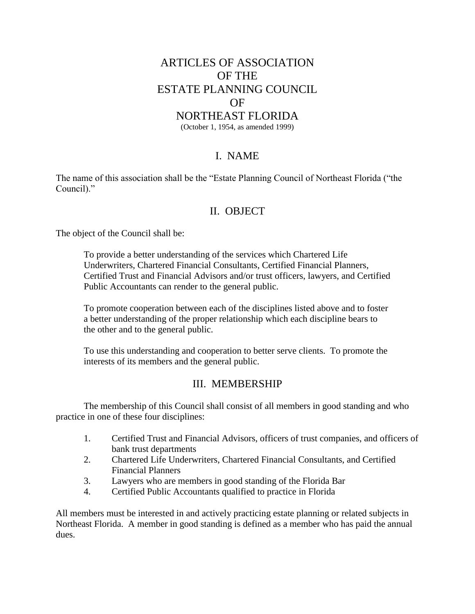# ARTICLES OF ASSOCIATION OF THE ESTATE PLANNING COUNCIL OF

#### NORTHEAST FLORIDA

(October 1, 1954, as amended 1999)

#### I. NAME

The name of this association shall be the "Estate Planning Council of Northeast Florida ("the Council)."

#### II. OBJECT

The object of the Council shall be:

To provide a better understanding of the services which Chartered Life Underwriters, Chartered Financial Consultants, Certified Financial Planners, Certified Trust and Financial Advisors and/or trust officers, lawyers, and Certified Public Accountants can render to the general public.

To promote cooperation between each of the disciplines listed above and to foster a better understanding of the proper relationship which each discipline bears to the other and to the general public.

To use this understanding and cooperation to better serve clients. To promote the interests of its members and the general public.

#### III. MEMBERSHIP

The membership of this Council shall consist of all members in good standing and who practice in one of these four disciplines:

- 1. Certified Trust and Financial Advisors, officers of trust companies, and officers of bank trust departments
- 2. Chartered Life Underwriters, Chartered Financial Consultants, and Certified Financial Planners
- 3. Lawyers who are members in good standing of the Florida Bar
- 4. Certified Public Accountants qualified to practice in Florida

All members must be interested in and actively practicing estate planning or related subjects in Northeast Florida. A member in good standing is defined as a member who has paid the annual dues.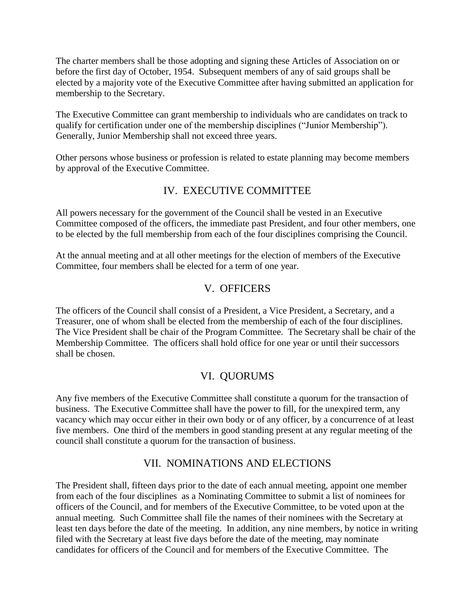The charter members shall be those adopting and signing these Articles of Association on or before the first day of October, 1954. Subsequent members of any of said groups shall be elected by a majority vote of the Executive Committee after having submitted an application for membership to the Secretary.

The Executive Committee can grant membership to individuals who are candidates on track to qualify for certification under one of the membership disciplines ("Junior Membership"). Generally, Junior Membership shall not exceed three years.

Other persons whose business or profession is related to estate planning may become members by approval of the Executive Committee.

# IV. EXECUTIVE COMMITTEE

All powers necessary for the government of the Council shall be vested in an Executive Committee composed of the officers, the immediate past President, and four other members, one to be elected by the full membership from each of the four disciplines comprising the Council.

At the annual meeting and at all other meetings for the election of members of the Executive Committee, four members shall be elected for a term of one year.

# V. OFFICERS

The officers of the Council shall consist of a President, a Vice President, a Secretary, and a Treasurer, one of whom shall be elected from the membership of each of the four disciplines. The Vice President shall be chair of the Program Committee. The Secretary shall be chair of the Membership Committee. The officers shall hold office for one year or until their successors shall be chosen.

# VI. QUORUMS

Any five members of the Executive Committee shall constitute a quorum for the transaction of business. The Executive Committee shall have the power to fill, for the unexpired term, any vacancy which may occur either in their own body or of any officer, by a concurrence of at least five members. One third of the members in good standing present at any regular meeting of the council shall constitute a quorum for the transaction of business.

# VII. NOMINATIONS AND ELECTIONS

The President shall, fifteen days prior to the date of each annual meeting, appoint one member from each of the four disciplines as a Nominating Committee to submit a list of nominees for officers of the Council, and for members of the Executive Committee, to be voted upon at the annual meeting. Such Committee shall file the names of their nominees with the Secretary at least ten days before the date of the meeting. In addition, any nine members, by notice in writing filed with the Secretary at least five days before the date of the meeting, may nominate candidates for officers of the Council and for members of the Executive Committee. The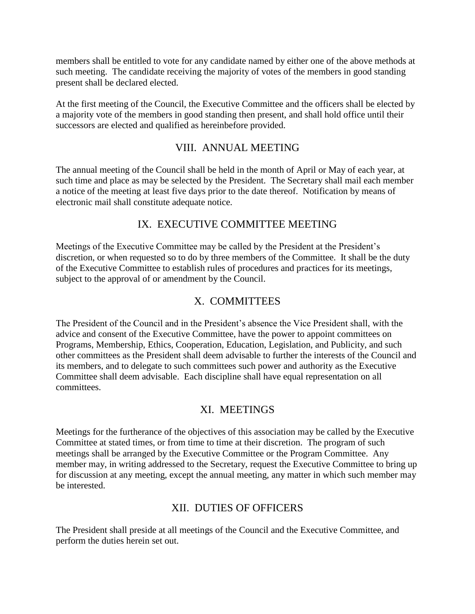members shall be entitled to vote for any candidate named by either one of the above methods at such meeting. The candidate receiving the majority of votes of the members in good standing present shall be declared elected.

At the first meeting of the Council, the Executive Committee and the officers shall be elected by a majority vote of the members in good standing then present, and shall hold office until their successors are elected and qualified as hereinbefore provided.

### VIII. ANNUAL MEETING

The annual meeting of the Council shall be held in the month of April or May of each year, at such time and place as may be selected by the President. The Secretary shall mail each member a notice of the meeting at least five days prior to the date thereof. Notification by means of electronic mail shall constitute adequate notice.

# IX. EXECUTIVE COMMITTEE MEETING

Meetings of the Executive Committee may be called by the President at the President's discretion, or when requested so to do by three members of the Committee. It shall be the duty of the Executive Committee to establish rules of procedures and practices for its meetings, subject to the approval of or amendment by the Council.

### X. COMMITTEES

The President of the Council and in the President's absence the Vice President shall, with the advice and consent of the Executive Committee, have the power to appoint committees on Programs, Membership, Ethics, Cooperation, Education, Legislation, and Publicity, and such other committees as the President shall deem advisable to further the interests of the Council and its members, and to delegate to such committees such power and authority as the Executive Committee shall deem advisable. Each discipline shall have equal representation on all committees.

#### XI. MEETINGS

Meetings for the furtherance of the objectives of this association may be called by the Executive Committee at stated times, or from time to time at their discretion. The program of such meetings shall be arranged by the Executive Committee or the Program Committee. Any member may, in writing addressed to the Secretary, request the Executive Committee to bring up for discussion at any meeting, except the annual meeting, any matter in which such member may be interested.

# XII. DUTIES OF OFFICERS

The President shall preside at all meetings of the Council and the Executive Committee, and perform the duties herein set out.